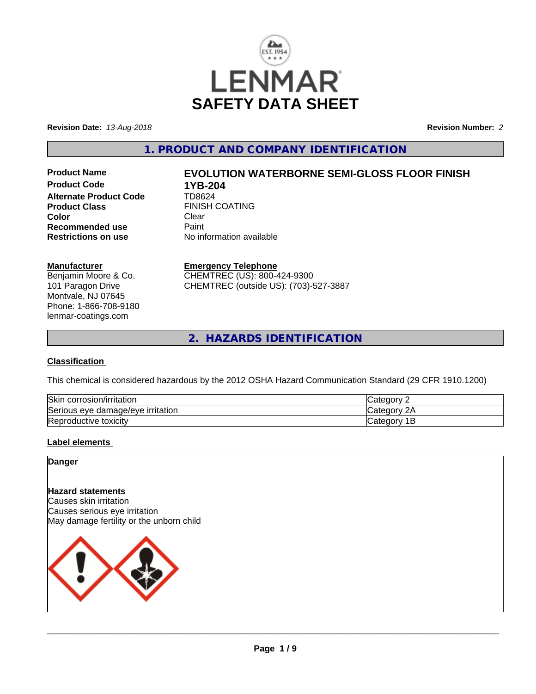

**Revision Date:** *13-Aug-2018* **Revision Number:** *2*

**1. PRODUCT AND COMPANY IDENTIFICATION**

**Product Code 1YB-204**<br>Alternate Product Code 1D8624 **Alternate Product Code Product Class** FINISH COATING<br> **Color** Clear **Color** Clear Clear **Recommended use Faint Paint Paint Restrictions on use Fig. 2016** 

# **Product Name EVOLUTION WATERBORNE SEMI-GLOSS FLOOR FINISH**

**No information available** 

#### **Manufacturer**

Benjamin Moore & Co. 101 Paragon Drive Montvale, NJ 07645 Phone: 1-866-708-9180 lenmar-coatings.com

## **Emergency Telephone**

CHEMTREC (US): 800-424-9300 CHEMTREC (outside US): (703)-527-3887

**2. HAZARDS IDENTIFICATION**

#### **Classification**

This chemical is considered hazardous by the 2012 OSHA Hazard Communication Standard (29 CFR 1910.1200)

| <b>Skir</b><br>corrosion/irritation                      | $\sim$<br>. 16 M                          |
|----------------------------------------------------------|-------------------------------------------|
| `<br>irritation<br>damade/eve •<br><b>Serious</b><br>eve | ົ<br>$\sim$<br>ำ่<br>. 10 H               |
| Reproductive toxicity                                    | ≀aor<br>- 0111<br>Jater <sup>-</sup><br>- |

#### **Label elements**

### **Danger**

## **Hazard statements**

Causes skin irritation Causes serious eye irritation May damage fertility or the unborn child

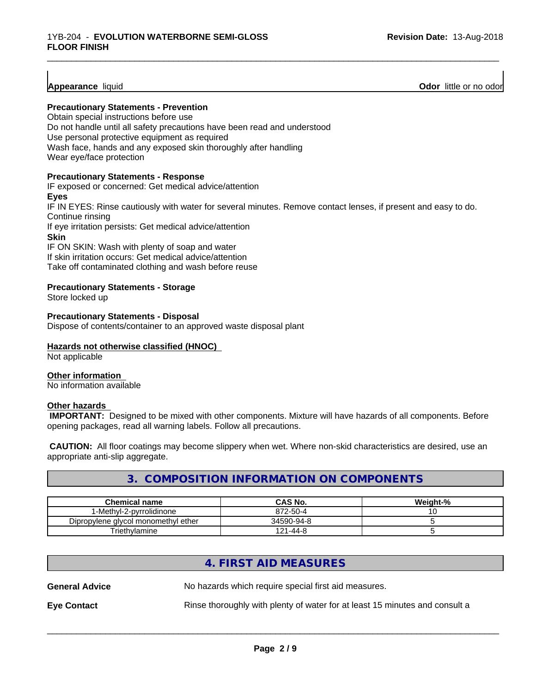**Appearance** liquid **Odor 11** and **Odor 11** and **Odor 11** and **Odor 11** and **Odor Odor** 11 and **Odor** 11 and **Odor** 11 and **Odor** 11 and **Odor** 11 and **Odor** 11 and **Odor** 11 and **Odor** 11 and 2012

#### **Precautionary Statements - Prevention**

Obtain special instructions before use Do not handle until all safety precautions have been read and understood Use personal protective equipment as required Wash face, hands and any exposed skin thoroughly after handling Wear eye/face protection

#### **Precautionary Statements - Response**

IF exposed or concerned: Get medical advice/attention **Eyes** IF IN EYES: Rinse cautiously with water for several minutes. Remove contact lenses, if present and easy to do. Continue rinsing If eye irritation persists: Get medical advice/attention **Skin** IF ON SKIN: Wash with plenty of soap and water If skin irritation occurs: Get medical advice/attention

\_\_\_\_\_\_\_\_\_\_\_\_\_\_\_\_\_\_\_\_\_\_\_\_\_\_\_\_\_\_\_\_\_\_\_\_\_\_\_\_\_\_\_\_\_\_\_\_\_\_\_\_\_\_\_\_\_\_\_\_\_\_\_\_\_\_\_\_\_\_\_\_\_\_\_\_\_\_\_\_\_\_\_\_\_\_\_\_\_\_\_\_\_

Take off contaminated clothing and wash before reuse

#### **Precautionary Statements - Storage**

Store locked up

#### **Precautionary Statements - Disposal**

Dispose of contents/container to an approved waste disposal plant

#### **Hazards not otherwise classified (HNOC)**

Not applicable

#### **Other information**

No information available

#### **Other hazards**

 **IMPORTANT:** Designed to be mixed with other components. Mixture will have hazards of all components. Before opening packages, read all warning labels. Follow all precautions.

 **CAUTION:** All floor coatings may become slippery when wet. Where non-skid characteristics are desired, use an appropriate anti-slip aggregate.

## **3. COMPOSITION INFORMATION ON COMPONENTS**

| <b>Chemical name</b>                | CAS No.             | Weight-% |
|-------------------------------------|---------------------|----------|
| 1-Methyl-2-pyrrolidinone            | 872-50-4            | ັບ       |
| Dipropylene glycol monomethyl ether | 34590-94-8          |          |
| Triethylamine                       | $1 - 44 - 8$<br>121 |          |

## **4. FIRST AID MEASURES**

| <b>General Advice</b> | No hazards which require special first aid measures.                        |
|-----------------------|-----------------------------------------------------------------------------|
| <b>Eye Contact</b>    | Rinse thoroughly with plenty of water for at least 15 minutes and consult a |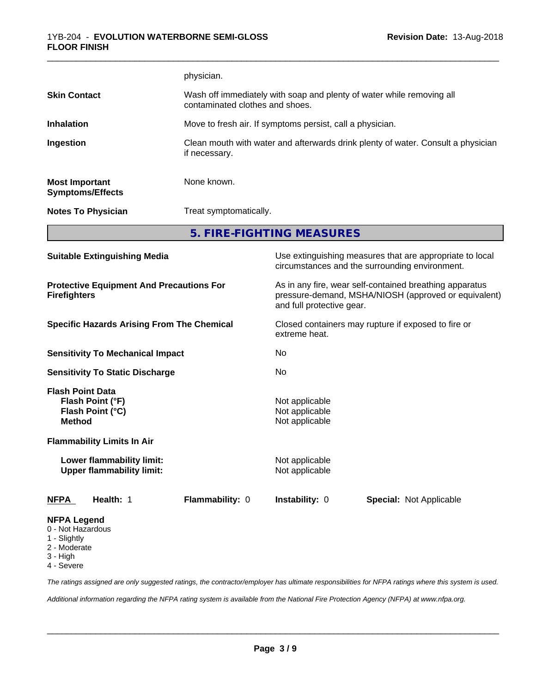|                                                                                                   |                                                               | physician.                                                                                                                                   |                                                                                  |                                                                                                            |
|---------------------------------------------------------------------------------------------------|---------------------------------------------------------------|----------------------------------------------------------------------------------------------------------------------------------------------|----------------------------------------------------------------------------------|------------------------------------------------------------------------------------------------------------|
| <b>Skin Contact</b>                                                                               |                                                               | Wash off immediately with soap and plenty of water while removing all<br>contaminated clothes and shoes.                                     |                                                                                  |                                                                                                            |
| <b>Inhalation</b>                                                                                 |                                                               |                                                                                                                                              | Move to fresh air. If symptoms persist, call a physician.                        |                                                                                                            |
| Ingestion                                                                                         |                                                               | if necessary.                                                                                                                                | Clean mouth with water and afterwards drink plenty of water. Consult a physician |                                                                                                            |
| <b>Most Important</b>                                                                             | <b>Symptoms/Effects</b>                                       | None known.                                                                                                                                  |                                                                                  |                                                                                                            |
|                                                                                                   | <b>Notes To Physician</b>                                     | Treat symptomatically.                                                                                                                       |                                                                                  |                                                                                                            |
|                                                                                                   |                                                               |                                                                                                                                              | 5. FIRE-FIGHTING MEASURES                                                        |                                                                                                            |
|                                                                                                   | <b>Suitable Extinguishing Media</b>                           |                                                                                                                                              |                                                                                  | Use extinguishing measures that are appropriate to local<br>circumstances and the surrounding environment. |
| <b>Protective Equipment And Precautions For</b><br><b>Firefighters</b>                            |                                                               | As in any fire, wear self-contained breathing apparatus<br>pressure-demand, MSHA/NIOSH (approved or equivalent)<br>and full protective gear. |                                                                                  |                                                                                                            |
| <b>Specific Hazards Arising From The Chemical</b>                                                 |                                                               | Closed containers may rupture if exposed to fire or<br>extreme heat.                                                                         |                                                                                  |                                                                                                            |
|                                                                                                   | <b>Sensitivity To Mechanical Impact</b>                       |                                                                                                                                              | No                                                                               |                                                                                                            |
|                                                                                                   | <b>Sensitivity To Static Discharge</b>                        |                                                                                                                                              | No                                                                               |                                                                                                            |
| <b>Flash Point Data</b><br><b>Method</b>                                                          | Flash Point (°F)<br>Flash Point (°C)                          |                                                                                                                                              | Not applicable<br>Not applicable<br>Not applicable                               |                                                                                                            |
|                                                                                                   | <b>Flammability Limits In Air</b>                             |                                                                                                                                              |                                                                                  |                                                                                                            |
|                                                                                                   | Lower flammability limit:<br><b>Upper flammability limit:</b> |                                                                                                                                              | Not applicable<br>Not applicable                                                 |                                                                                                            |
| <b>NFPA</b>                                                                                       | Health: 1                                                     | Flammability: 0                                                                                                                              | Instability: 0                                                                   | <b>Special: Not Applicable</b>                                                                             |
| <b>NFPA Legend</b><br>0 - Not Hazardous<br>1 - Slightly<br>2 - Moderate<br>3 - High<br>4 - Severe |                                                               |                                                                                                                                              |                                                                                  |                                                                                                            |

*The ratings assigned are only suggested ratings, the contractor/employer has ultimate responsibilities for NFPA ratings where this system is used.*

*Additional information regarding the NFPA rating system is available from the National Fire Protection Agency (NFPA) at www.nfpa.org.*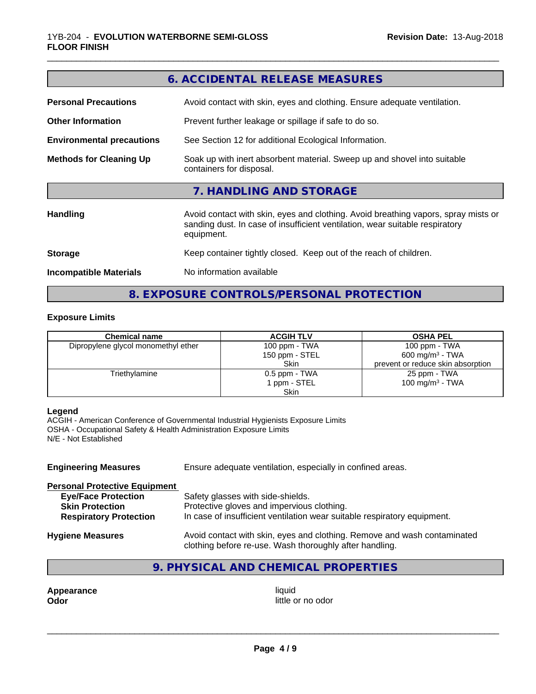|                                  | 6. ACCIDENTAL RELEASE MEASURES                                                                                                                                                   |
|----------------------------------|----------------------------------------------------------------------------------------------------------------------------------------------------------------------------------|
| <b>Personal Precautions</b>      | Avoid contact with skin, eyes and clothing. Ensure adequate ventilation.                                                                                                         |
| <b>Other Information</b>         | Prevent further leakage or spillage if safe to do so.                                                                                                                            |
| <b>Environmental precautions</b> | See Section 12 for additional Ecological Information.                                                                                                                            |
| <b>Methods for Cleaning Up</b>   | Soak up with inert absorbent material. Sweep up and shovel into suitable<br>containers for disposal.                                                                             |
|                                  | 7. HANDLING AND STORAGE                                                                                                                                                          |
| <b>Handling</b>                  | Avoid contact with skin, eyes and clothing. Avoid breathing vapors, spray mists or<br>sanding dust. In case of insufficient ventilation, wear suitable respiratory<br>equipment. |
| <b>Storage</b>                   | Keep container tightly closed. Keep out of the reach of children.                                                                                                                |
| <b>Incompatible Materials</b>    | No information available                                                                                                                                                         |
|                                  |                                                                                                                                                                                  |

**8. EXPOSURE CONTROLS/PERSONAL PROTECTION**

#### **Exposure Limits**

| <b>Chemical name</b>                | <b>ACGIH TLV</b> | <b>OSHA PEL</b>                   |
|-------------------------------------|------------------|-----------------------------------|
| Dipropylene glycol monomethyl ether | 100 ppm - TWA    | 100 ppm $-$ TWA                   |
|                                     | 150 ppm - STEL   | $600 \text{ mg/m}^3$ - TWA        |
|                                     | <b>Skin</b>      | prevent or reduce skin absorption |
| Triethylamine                       | 0.5 ppm - TWA    | 25 ppm - TWA                      |
|                                     | 1 ppm - STEL     | 100 mg/m $3$ - TWA                |
|                                     | Skin             |                                   |

#### **Legend**

ACGIH - American Conference of Governmental Industrial Hygienists Exposure Limits OSHA - Occupational Safety & Health Administration Exposure Limits N/E - Not Established

| <b>Engineering Measures</b>          | Ensure adequate ventilation, especially in confined areas.                                                                          |  |
|--------------------------------------|-------------------------------------------------------------------------------------------------------------------------------------|--|
| <b>Personal Protective Equipment</b> |                                                                                                                                     |  |
| <b>Eye/Face Protection</b>           | Safety glasses with side-shields.                                                                                                   |  |
| <b>Skin Protection</b>               | Protective gloves and impervious clothing.                                                                                          |  |
| <b>Respiratory Protection</b>        | In case of insufficient ventilation wear suitable respiratory equipment.                                                            |  |
| <b>Hygiene Measures</b>              | Avoid contact with skin, eyes and clothing. Remove and wash contaminated<br>clothing before re-use. Wash thoroughly after handling. |  |

## **9. PHYSICAL AND CHEMICAL PROPERTIES**

**Appearance** liquid **Odor** liquid little of limitation in the little of little of little of little of little of little of little of little of little of little of little of little of little of little of little of little of

little or no odor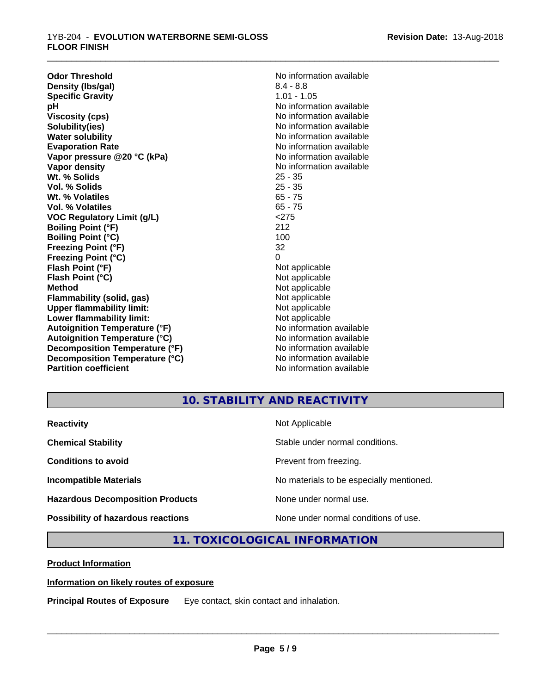| <b>Odor Threshold</b>                | No information available |
|--------------------------------------|--------------------------|
| Density (Ibs/gal)                    | $8.4 - 8.8$              |
| <b>Specific Gravity</b>              | $1.01 - 1.05$            |
| рH                                   | No information available |
| <b>Viscosity (cps)</b>               | No information available |
| Solubility(ies)                      | No information available |
| <b>Water solubility</b>              | No information available |
| <b>Evaporation Rate</b>              | No information available |
| Vapor pressure @20 °C (kPa)          | No information available |
| <b>Vapor density</b>                 | No information available |
| Wt. % Solids                         | $25 - 35$                |
| Vol. % Solids                        | $25 - 35$                |
| Wt. % Volatiles                      | $65 - 75$                |
| Vol. % Volatiles                     | $65 - 75$                |
| <b>VOC Regulatory Limit (g/L)</b>    | < 275                    |
| <b>Boiling Point (°F)</b>            | 212                      |
| <b>Boiling Point (°C)</b>            | 100                      |
| <b>Freezing Point (°F)</b>           | 32                       |
| <b>Freezing Point (°C)</b>           | 0                        |
| Flash Point (°F)                     | Not applicable           |
| Flash Point (°C)                     | Not applicable           |
| <b>Method</b>                        | Not applicable           |
| <b>Flammability (solid, gas)</b>     | Not applicable           |
| <b>Upper flammability limit:</b>     | Not applicable           |
| Lower flammability limit:            | Not applicable           |
| <b>Autoignition Temperature (°F)</b> | No information available |
| <b>Autoignition Temperature (°C)</b> | No information available |
| Decomposition Temperature (°F)       | No information available |
| Decomposition Temperature (°C)       | No information available |
| <b>Partition coefficient</b>         | No information available |

\_\_\_\_\_\_\_\_\_\_\_\_\_\_\_\_\_\_\_\_\_\_\_\_\_\_\_\_\_\_\_\_\_\_\_\_\_\_\_\_\_\_\_\_\_\_\_\_\_\_\_\_\_\_\_\_\_\_\_\_\_\_\_\_\_\_\_\_\_\_\_\_\_\_\_\_\_\_\_\_\_\_\_\_\_\_\_\_\_\_\_\_\_

## **10. STABILITY AND REACTIVITY**

| <b>Reactivity</b>                         | Not Applicable                           |
|-------------------------------------------|------------------------------------------|
| <b>Chemical Stability</b>                 | Stable under normal conditions.          |
| <b>Conditions to avoid</b>                | Prevent from freezing.                   |
| <b>Incompatible Materials</b>             | No materials to be especially mentioned. |
| <b>Hazardous Decomposition Products</b>   | None under normal use.                   |
| <b>Possibility of hazardous reactions</b> | None under normal conditions of use.     |

## **11. TOXICOLOGICAL INFORMATION**

**Product Information**

#### **Information on likely routes of exposure**

**Principal Routes of Exposure** Eye contact, skin contact and inhalation.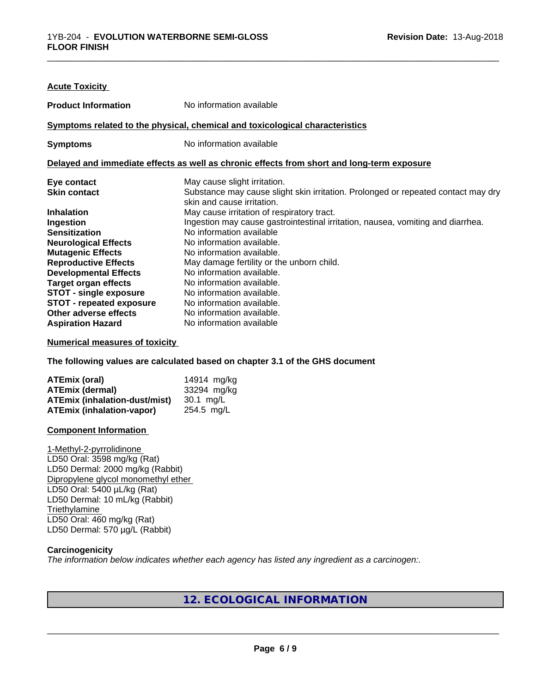| <b>Acute Toxicity</b>           |                                                                                                                 |
|---------------------------------|-----------------------------------------------------------------------------------------------------------------|
| <b>Product Information</b>      | No information available                                                                                        |
|                                 | Symptoms related to the physical, chemical and toxicological characteristics                                    |
| <b>Symptoms</b>                 | No information available                                                                                        |
|                                 | Delayed and immediate effects as well as chronic effects from short and long-term exposure                      |
| Eye contact                     | May cause slight irritation.                                                                                    |
| <b>Skin contact</b>             | Substance may cause slight skin irritation. Prolonged or repeated contact may dry<br>skin and cause irritation. |
| <b>Inhalation</b>               | May cause irritation of respiratory tract.                                                                      |
| Ingestion                       | Ingestion may cause gastrointestinal irritation, nausea, vomiting and diarrhea.                                 |
| <b>Sensitization</b>            | No information available                                                                                        |
| <b>Neurological Effects</b>     | No information available.                                                                                       |
| <b>Mutagenic Effects</b>        | No information available.                                                                                       |
| <b>Reproductive Effects</b>     | May damage fertility or the unborn child.                                                                       |
| <b>Developmental Effects</b>    | No information available.                                                                                       |
| <b>Target organ effects</b>     | No information available.                                                                                       |
| <b>STOT - single exposure</b>   | No information available.                                                                                       |
| <b>STOT - repeated exposure</b> | No information available.                                                                                       |
| Other adverse effects           | No information available.                                                                                       |
| <b>Aspiration Hazard</b>        | No information available                                                                                        |

#### **Numerical measures of toxicity**

**The following values are calculated based on chapter 3.1 of the GHS document**

| ATEmix (oral)                    | 14914 mg/kg |
|----------------------------------|-------------|
| <b>ATEmix (dermal)</b>           | 33294 mg/kg |
| ATEmix (inhalation-dust/mist)    | 30.1 ma/L   |
| <b>ATEmix (inhalation-vapor)</b> | 254.5 mg/L  |

#### **Component Information**

1-Methyl-2-pyrrolidinone LD50 Oral: 3598 mg/kg (Rat) LD50 Dermal: 2000 mg/kg (Rabbit) Dipropylene glycol monomethyl ether LD50 Oral: 5400 µL/kg (Rat) LD50 Dermal: 10 mL/kg (Rabbit) **Triethylamine** LD50 Oral: 460 mg/kg (Rat) LD50 Dermal: 570 µg/L (Rabbit)

#### **Carcinogenicity**

*The information below indicateswhether each agency has listed any ingredient as a carcinogen:.*

## **12. ECOLOGICAL INFORMATION**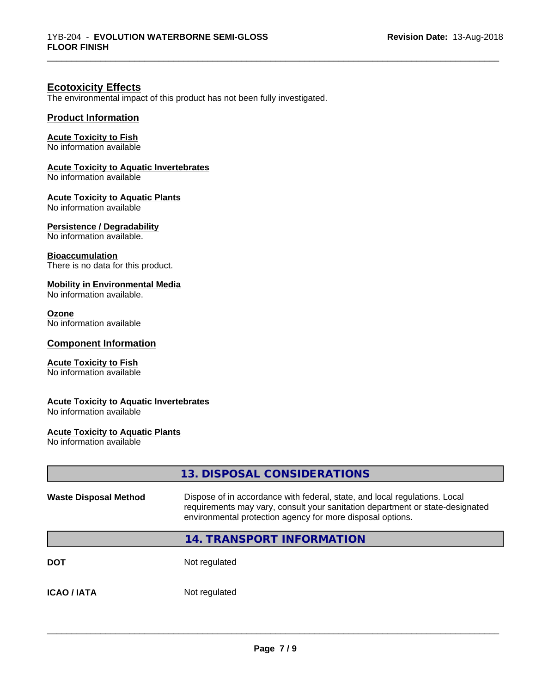\_\_\_\_\_\_\_\_\_\_\_\_\_\_\_\_\_\_\_\_\_\_\_\_\_\_\_\_\_\_\_\_\_\_\_\_\_\_\_\_\_\_\_\_\_\_\_\_\_\_\_\_\_\_\_\_\_\_\_\_\_\_\_\_\_\_\_\_\_\_\_\_\_\_\_\_\_\_\_\_\_\_\_\_\_\_\_\_\_\_\_\_\_

## **Ecotoxicity Effects**

The environmental impact of this product has not been fully investigated.

#### **Product Information**

#### **Acute Toxicity to Fish**

No information available

#### **Acute Toxicity to Aquatic Invertebrates**

No information available

#### **Acute Toxicity to Aquatic Plants**

No information available

#### **Persistence / Degradability**

No information available.

#### **Bioaccumulation**

There is no data for this product.

#### **Mobility in Environmental Media**

No information available.

#### **Ozone**

No information available

#### **Component Information**

#### **Acute Toxicity to Fish**

No information available

#### **Acute Toxicity to Aquatic Invertebrates**

No information available

#### **Acute Toxicity to Aquatic Plants**

No information available

|                              | 13. DISPOSAL CONSIDERATIONS                                                                                                                                                                                               |
|------------------------------|---------------------------------------------------------------------------------------------------------------------------------------------------------------------------------------------------------------------------|
| <b>Waste Disposal Method</b> | Dispose of in accordance with federal, state, and local regulations. Local<br>requirements may vary, consult your sanitation department or state-designated<br>environmental protection agency for more disposal options. |
|                              | 14. TRANSPORT INFORMATION                                                                                                                                                                                                 |
| <b>DOT</b>                   | Not regulated                                                                                                                                                                                                             |
| <b>ICAO / IATA</b>           | Not regulated                                                                                                                                                                                                             |
|                              |                                                                                                                                                                                                                           |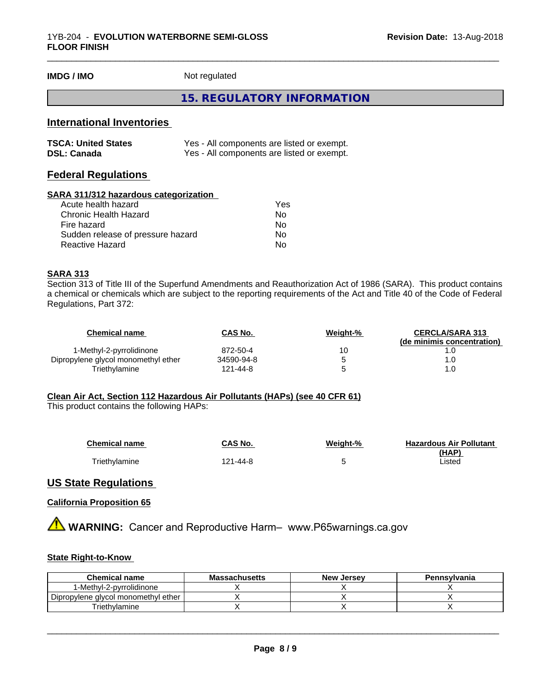**IMDG / IMO** Not regulated

#### **15. REGULATORY INFORMATION**

\_\_\_\_\_\_\_\_\_\_\_\_\_\_\_\_\_\_\_\_\_\_\_\_\_\_\_\_\_\_\_\_\_\_\_\_\_\_\_\_\_\_\_\_\_\_\_\_\_\_\_\_\_\_\_\_\_\_\_\_\_\_\_\_\_\_\_\_\_\_\_\_\_\_\_\_\_\_\_\_\_\_\_\_\_\_\_\_\_\_\_\_\_

## **International Inventories**

| <b>TSCA: United States</b> | Yes - All components are listed or exempt. |
|----------------------------|--------------------------------------------|
| <b>DSL: Canada</b>         | Yes - All components are listed or exempt. |

## **Federal Regulations**

#### **SARA 311/312 hazardous categorization**

| Acute health hazard               | Yes |
|-----------------------------------|-----|
| Chronic Health Hazard             | Nο  |
| Fire hazard                       | No  |
| Sudden release of pressure hazard | Nο  |
| Reactive Hazard                   | N٥  |

#### **SARA 313**

Section 313 of Title III of the Superfund Amendments and Reauthorization Act of 1986 (SARA). This product contains a chemical or chemicals which are subject to the reporting requirements of the Act and Title 40 of the Code of Federal Regulations, Part 372:

| Chemical name                       | <b>CAS No.</b> | Weight-% | <b>CERCLA/SARA 313</b>     |
|-------------------------------------|----------------|----------|----------------------------|
|                                     |                |          | (de minimis concentration) |
| 1-Methyl-2-pyrrolidinone            | 872-50-4       | 10       |                            |
| Dipropylene glycol monomethyl ether | 34590-94-8     |          |                            |
| Triethvlamine                       | 121-44-8       |          | 1.0                        |

#### **Clean Air Act,Section 112 Hazardous Air Pollutants (HAPs) (see 40 CFR 61)**

This product contains the following HAPs:

| <b>Chemical name</b> | CAS No.  | Weight-% | <b>Hazardous Air Pollutant</b> |
|----------------------|----------|----------|--------------------------------|
|                      |          |          | (HAP)                          |
| <b>Triethylamine</b> | 121-44-8 |          | Listed                         |

#### **US State Regulations**

#### **California Proposition 65**

**AVIMARNING:** Cancer and Reproductive Harm– www.P65warnings.ca.gov

#### **State Right-to-Know**

| <b>Chemical name</b>                | <b>Massachusetts</b> | <b>New Jersey</b> | Pennsylvania |
|-------------------------------------|----------------------|-------------------|--------------|
| 1-Methyl-2-pyrrolidinone            |                      |                   |              |
| Dipropylene glycol monomethyl ether |                      |                   |              |
| <sup>r</sup> iethvlamine            |                      |                   |              |